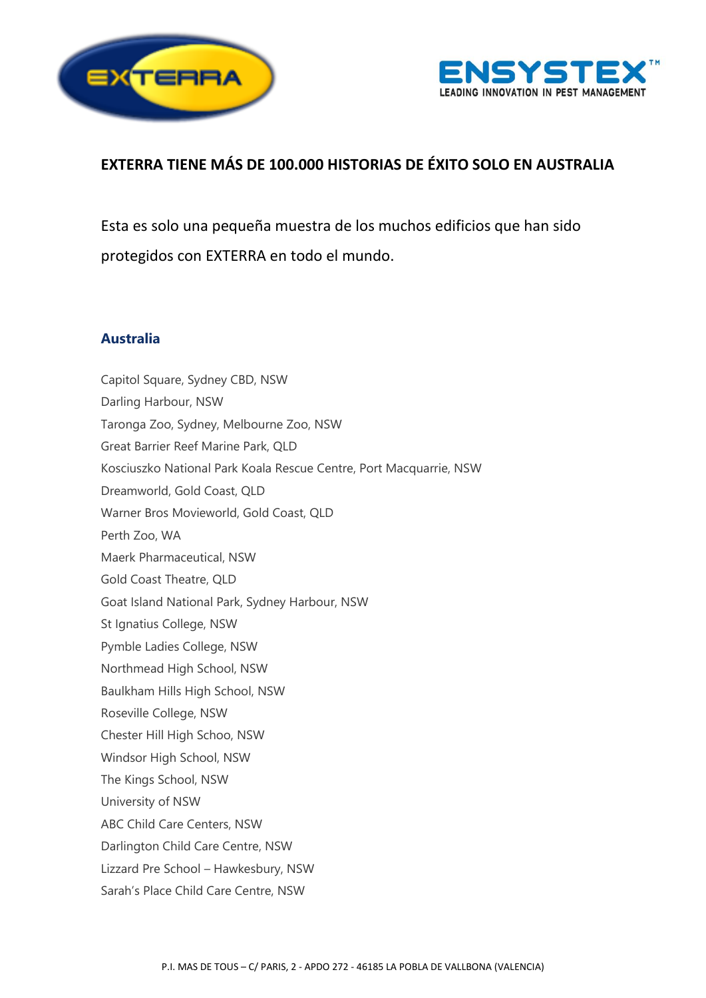



# **EXTERRA TIENE MÁS DE 100.000 HISTORIAS DE ÉXITO SOLO EN AUSTRALIA**

Esta es solo una pequeña muestra de los muchos edificios que han sido protegidos con EXTERRA en todo el mundo.

## **Australia**

Capitol Square, Sydney CBD, NSW Darling Harbour, NSW Taronga Zoo, Sydney, Melbourne Zoo, NSW Great Barrier Reef Marine Park, QLD Kosciuszko National Park Koala Rescue Centre, Port Macquarrie, NSW Dreamworld, Gold Coast, QLD Warner Bros Movieworld, Gold Coast, QLD Perth Zoo, WA Maerk Pharmaceutical, NSW Gold Coast Theatre, QLD Goat Island National Park, Sydney Harbour, NSW St Ignatius College, NSW Pymble Ladies College, NSW Northmead High School, NSW Baulkham Hills High School, NSW Roseville College, NSW Chester Hill High Schoo, NSW Windsor High School, NSW The Kings School, NSW University of NSW ABC Child Care Centers, NSW Darlington Child Care Centre, NSW Lizzard Pre School – Hawkesbury, NSW Sarah's Place Child Care Centre, NSW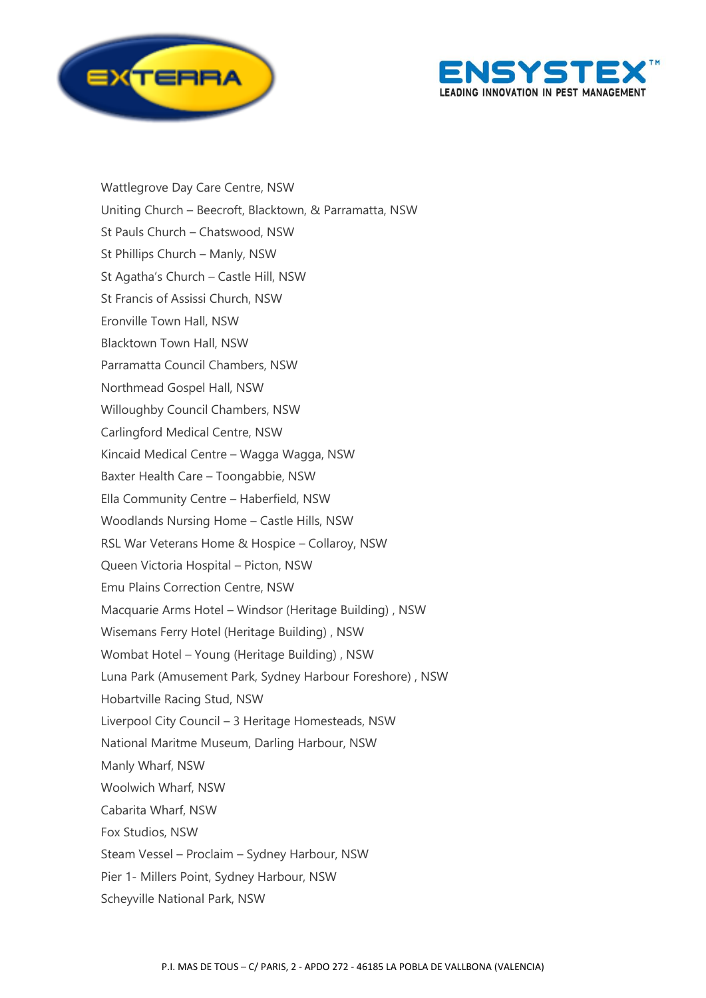



Wattlegrove Day Care Centre, NSW Uniting Church – Beecroft, Blacktown, & Parramatta, NSW St Pauls Church – Chatswood, NSW St Phillips Church – Manly, NSW St Agatha's Church – Castle Hill, NSW St Francis of Assissi Church, NSW Eronville Town Hall, NSW Blacktown Town Hall, NSW Parramatta Council Chambers, NSW Northmead Gospel Hall, NSW Willoughby Council Chambers, NSW Carlingford Medical Centre, NSW Kincaid Medical Centre – Wagga Wagga, NSW Baxter Health Care – Toongabbie, NSW Ella Community Centre – Haberfield, NSW Woodlands Nursing Home – Castle Hills, NSW RSL War Veterans Home & Hospice – Collaroy, NSW Queen Victoria Hospital – Picton, NSW Emu Plains Correction Centre, NSW Macquarie Arms Hotel – Windsor (Heritage Building) , NSW Wisemans Ferry Hotel (Heritage Building) , NSW Wombat Hotel – Young (Heritage Building) , NSW Luna Park (Amusement Park, Sydney Harbour Foreshore) , NSW Hobartville Racing Stud, NSW Liverpool City Council – 3 Heritage Homesteads, NSW National Maritme Museum, Darling Harbour, NSW Manly Wharf, NSW Woolwich Wharf, NSW Cabarita Wharf, NSW Fox Studios, NSW Steam Vessel – Proclaim – Sydney Harbour, NSW Pier 1- Millers Point, Sydney Harbour, NSW Scheyville National Park, NSW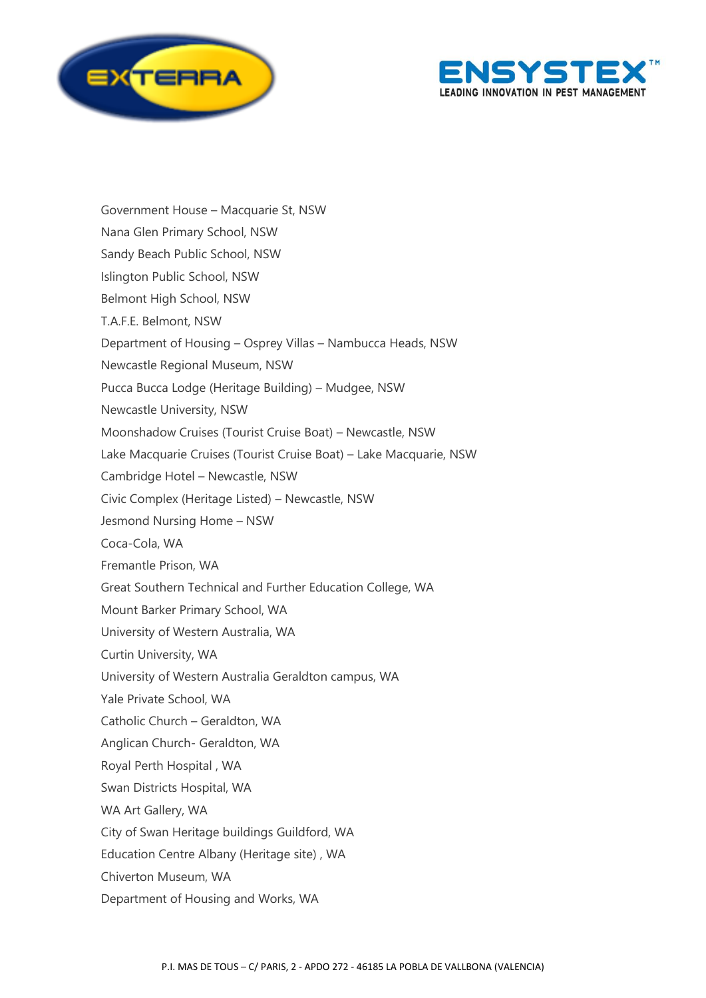



Government House – Macquarie St, NSW Nana Glen Primary School, NSW Sandy Beach Public School, NSW Islington Public School, NSW Belmont High School, NSW T.A.F.E. Belmont, NSW Department of Housing – Osprey Villas – Nambucca Heads, NSW Newcastle Regional Museum, NSW Pucca Bucca Lodge (Heritage Building) – Mudgee, NSW Newcastle University, NSW Moonshadow Cruises (Tourist Cruise Boat) – Newcastle, NSW Lake Macquarie Cruises (Tourist Cruise Boat) – Lake Macquarie, NSW Cambridge Hotel – Newcastle, NSW Civic Complex (Heritage Listed) – Newcastle, NSW Jesmond Nursing Home – NSW Coca-Cola, WA Fremantle Prison, WA Great Southern Technical and Further Education College, WA Mount Barker Primary School, WA University of Western Australia, WA Curtin University, WA University of Western Australia Geraldton campus, WA Yale Private School, WA Catholic Church – Geraldton, WA Anglican Church- Geraldton, WA Royal Perth Hospital , WA Swan Districts Hospital, WA WA Art Gallery, WA City of Swan Heritage buildings Guildford, WA Education Centre Albany (Heritage site) , WA Chiverton Museum, WA Department of Housing and Works, WA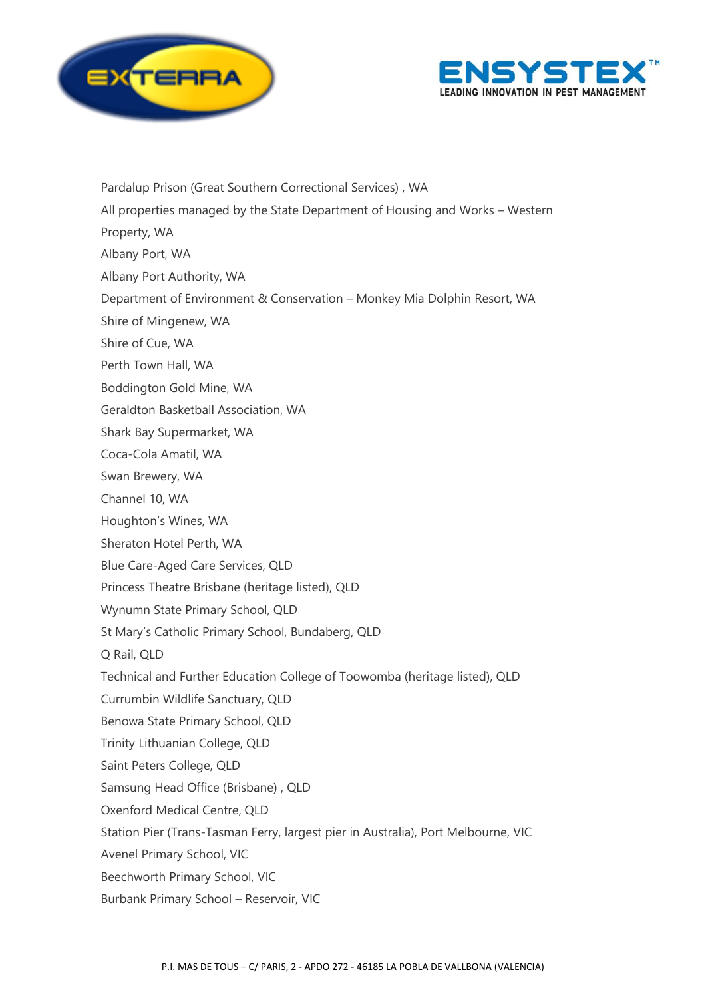



Pardalup Prison (Great Southern Correctional Services) , WA All properties managed by the State Department of Housing and Works – Western Property, WA Albany Port, WA Albany Port Authority, WA Department of Environment & Conservation – Monkey Mia Dolphin Resort, WA Shire of Mingenew, WA Shire of Cue, WA Perth Town Hall, WA Boddington Gold Mine, WA Geraldton Basketball Association, WA Shark Bay Supermarket, WA Coca-Cola Amatil, WA Swan Brewery, WA Channel 10, WA Houghton's Wines, WA Sheraton Hotel Perth, WA Blue Care-Aged Care Services, QLD Princess Theatre Brisbane (heritage listed), QLD Wynumn State Primary School, QLD St Mary's Catholic Primary School, Bundaberg, QLD Q Rail, QLD Technical and Further Education College of Toowomba (heritage listed), QLD Currumbin Wildlife Sanctuary, QLD Benowa State Primary School, QLD Trinity Lithuanian College, QLD Saint Peters College, QLD Samsung Head Office (Brisbane) , QLD Oxenford Medical Centre, QLD Station Pier (Trans-Tasman Ferry, largest pier in Australia), Port Melbourne, VIC Avenel Primary School, VIC Beechworth Primary School, VIC Burbank Primary School – Reservoir, VIC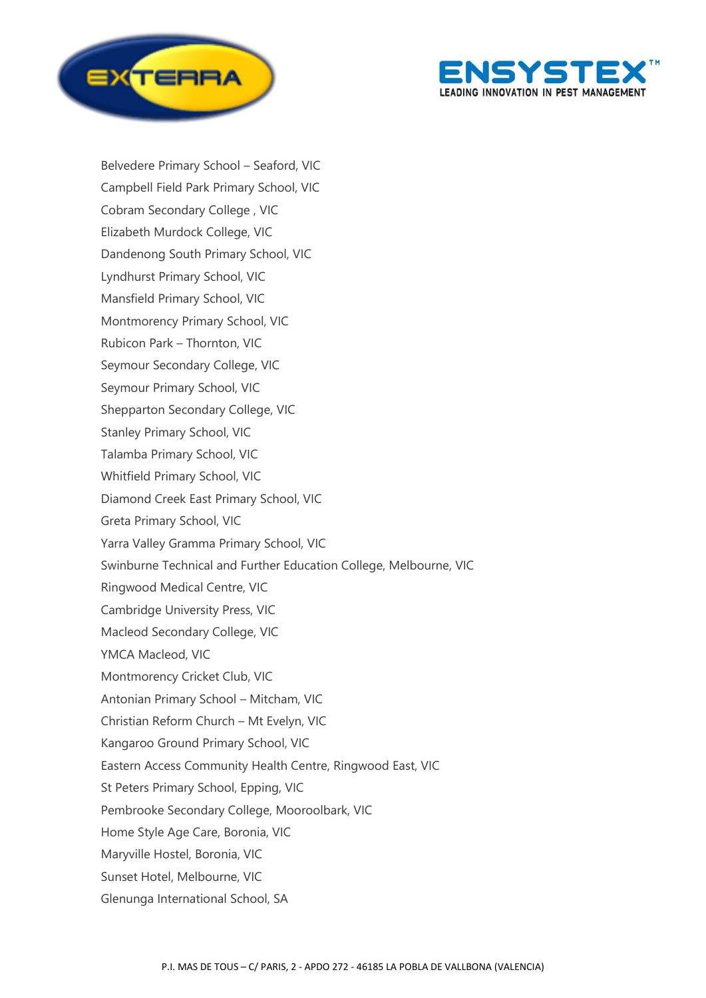



Belvedere Primary School – Seaford, VIC Campbell Field Park Primary School, VIC Cobram Secondary College , VIC Elizabeth Murdock College, VIC Dandenong South Primary School, VIC Lyndhurst Primary School, VIC Mansfield Primary School, VIC Montmorency Primary School, VIC Rubicon Park – Thornton, VIC Seymour Secondary College, VIC Seymour Primary School, VIC Shepparton Secondary College, VIC Stanley Primary School, VIC Talamba Primary School, VIC Whitfield Primary School, VIC Diamond Creek East Primary School, VIC Greta Primary School, VIC Yarra Valley Gramma Primary School, VIC Swinburne Technical and Further Education College, Melbourne, VIC Ringwood Medical Centre, VIC Cambridge University Press, VIC Macleod Secondary College, VIC YMCA Macleod, VIC Montmorency Cricket Club, VIC Antonian Primary School – Mitcham, VIC Christian Reform Church – Mt Evelyn, VIC Kangaroo Ground Primary School, VIC Eastern Access Community Health Centre, Ringwood East, VIC St Peters Primary School, Epping, VIC Pembrooke Secondary College, Mooroolbark, VIC Home Style Age Care, Boronia, VIC Maryville Hostel, Boronia, VIC Sunset Hotel, Melbourne, VIC Glenunga International School, SA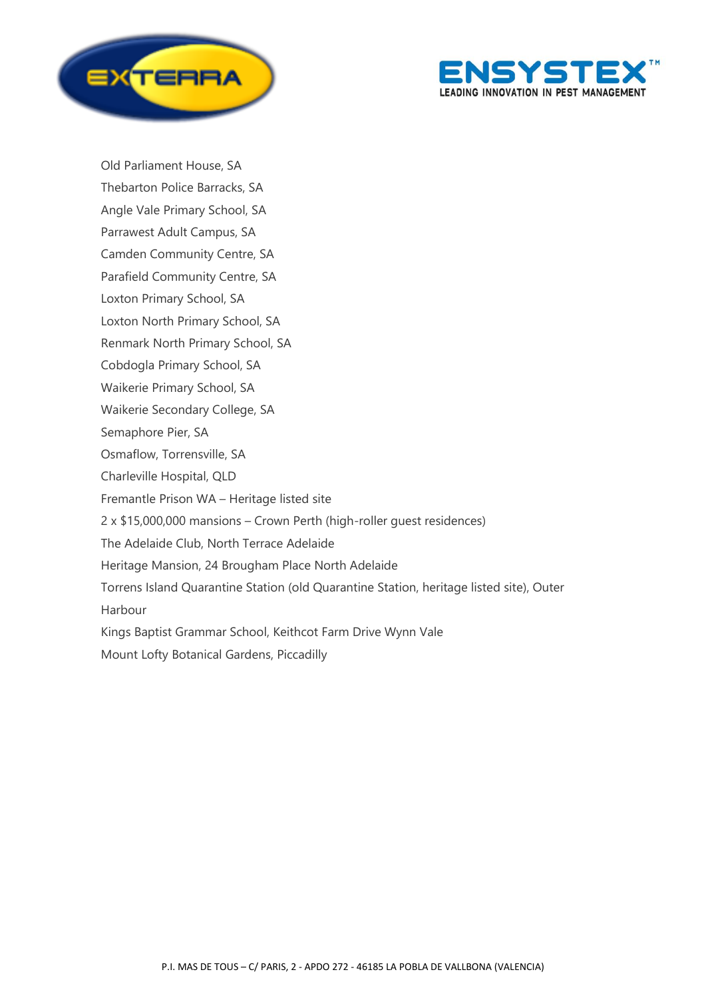



Old Parliament House, SA Thebarton Police Barracks, SA Angle Vale Primary School, SA Parrawest Adult Campus, SA Camden Community Centre, SA Parafield Community Centre, SA Loxton Primary School, SA Loxton North Primary School, SA Renmark North Primary School, SA Cobdogla Primary School, SA Waikerie Primary School, SA Waikerie Secondary College, SA Semaphore Pier, SA Osmaflow, Torrensville, SA Charleville Hospital, QLD Fremantle Prison WA – Heritage listed site 2 x \$15,000,000 mansions – Crown Perth (high-roller guest residences) The Adelaide Club, North Terrace Adelaide Heritage Mansion, 24 Brougham Place North Adelaide Torrens Island Quarantine Station (old Quarantine Station, heritage listed site), Outer Harbour Kings Baptist Grammar School, Keithcot Farm Drive Wynn Vale Mount Lofty Botanical Gardens, Piccadilly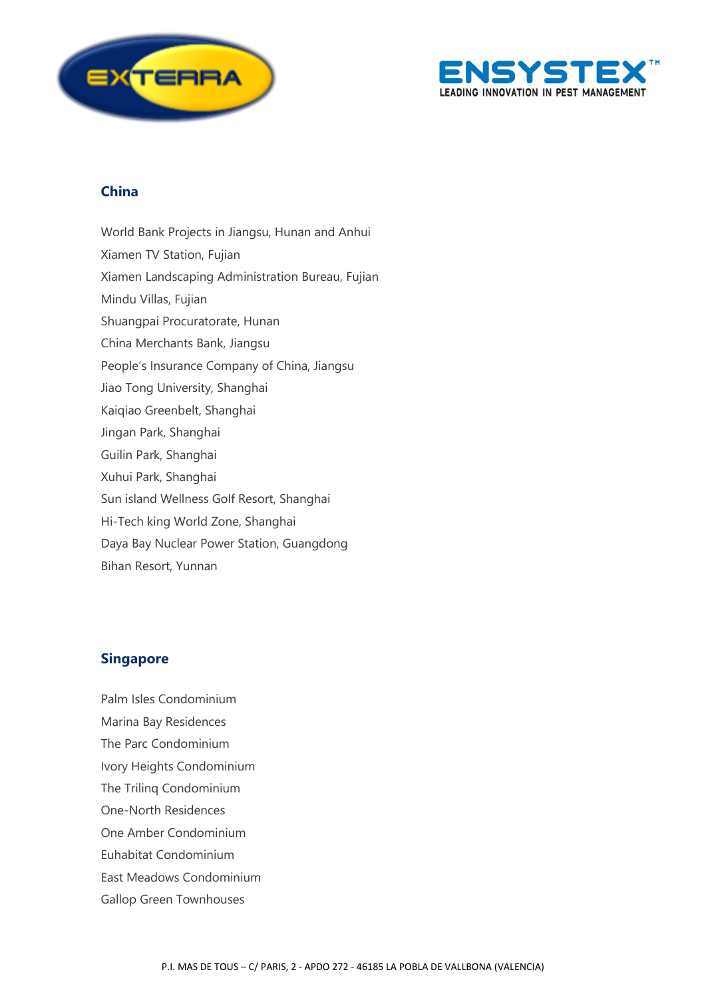



# **China**

World Bank Projects in Jiangsu, Hunan and Anhui Xiamen TV Station, Fujian Xiamen Landscaping Administration Bureau, Fujian Mindu Villas, Fujian Shuangpai Procuratorate, Hunan China Merchants Bank, Jiangsu People's Insurance Company of China, Jiangsu Jiao Tong University, Shanghai Kaiqiao Greenbelt, Shanghai Jingan Park, Shanghai Guilin Park, Shanghai Xuhui Park, Shanghai Sun island Wellness Golf Resort, Shanghai Hi-Tech king World Zone, Shanghai Daya Bay Nuclear Power Station, Guangdong Bihan Resort, Yunnan

### **Singapore**

Palm Isles Condominium Marina Bay Residences The Parc Condominium Ivory Heights Condominium The Trilinq Condominium One-North Residences One Amber Condominium Euhabitat Condominium East Meadows Condominium Gallop Green Townhouses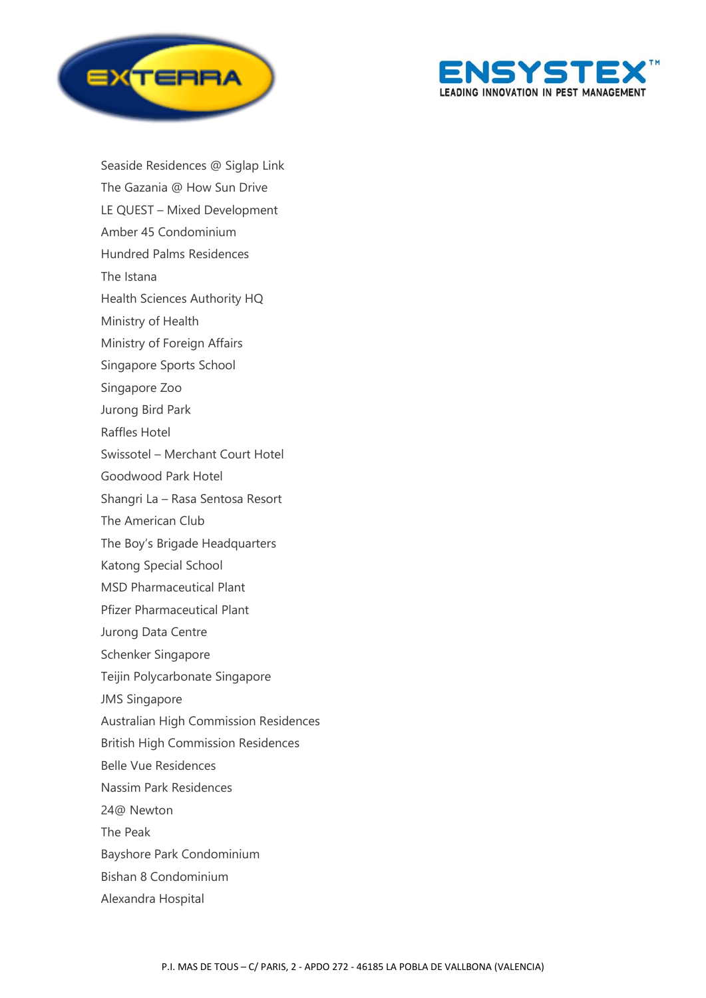



Seaside Residences @ Siglap Link The Gazania @ How Sun Drive LE QUEST – Mixed Development Amber 45 Condominium Hundred Palms Residences The Istana Health Sciences Authority HQ Ministry of Health Ministry of Foreign Affairs Singapore Sports School Singapore Zoo Jurong Bird Park Raffles Hotel Swissotel – Merchant Court Hotel Goodwood Park Hotel Shangri La – Rasa Sentosa Resort The American Club The Boy's Brigade Headquarters Katong Special School MSD Pharmaceutical Plant Pfizer Pharmaceutical Plant Jurong Data Centre Schenker Singapore Teijin Polycarbonate Singapore JMS Singapore Australian High Commission Residences British High Commission Residences Belle Vue Residences Nassim Park Residences 24@ Newton The Peak Bayshore Park Condominium Bishan 8 Condominium

Alexandra Hospital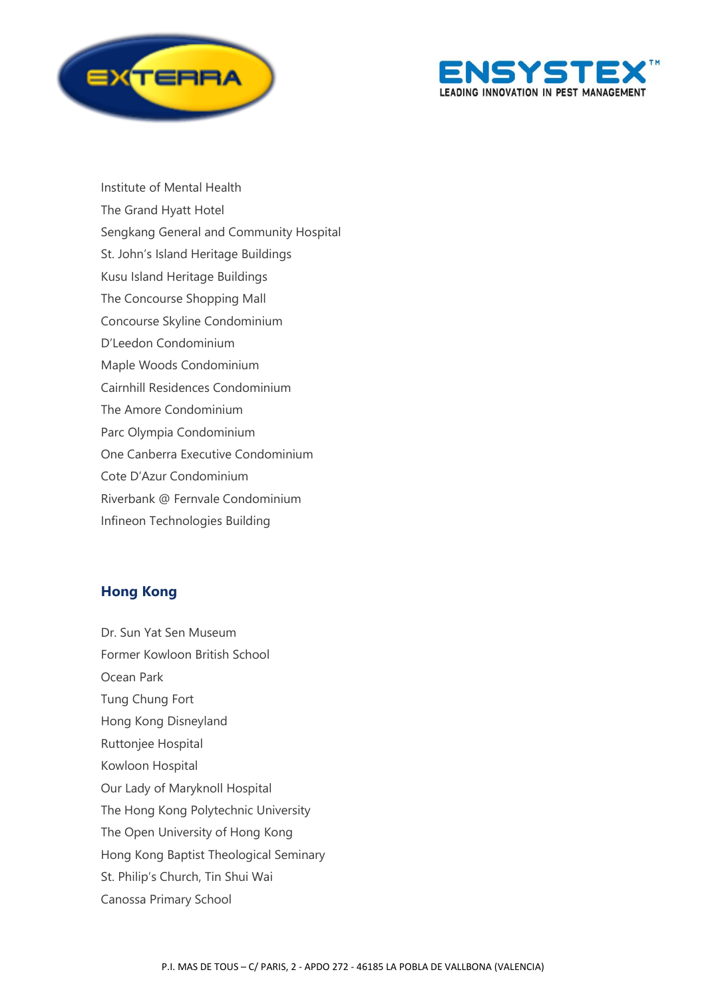



Institute of Mental Health The Grand Hyatt Hotel Sengkang General and Community Hospital St. John's Island Heritage Buildings Kusu Island Heritage Buildings The Concourse Shopping Mall Concourse Skyline Condominium D'Leedon Condominium Maple Woods Condominium Cairnhill Residences Condominium The Amore Condominium Parc Olympia Condominium One Canberra Executive Condominium Cote D'Azur Condominium Riverbank @ Fernvale Condominium Infineon Technologies Building

### **Hong Kong**

Dr. Sun Yat Sen Museum Former Kowloon British School Ocean Park Tung Chung Fort Hong Kong Disneyland Ruttonjee Hospital Kowloon Hospital Our Lady of Maryknoll Hospital The Hong Kong Polytechnic University The Open University of Hong Kong Hong Kong Baptist Theological Seminary St. Philip's Church, Tin Shui Wai Canossa Primary School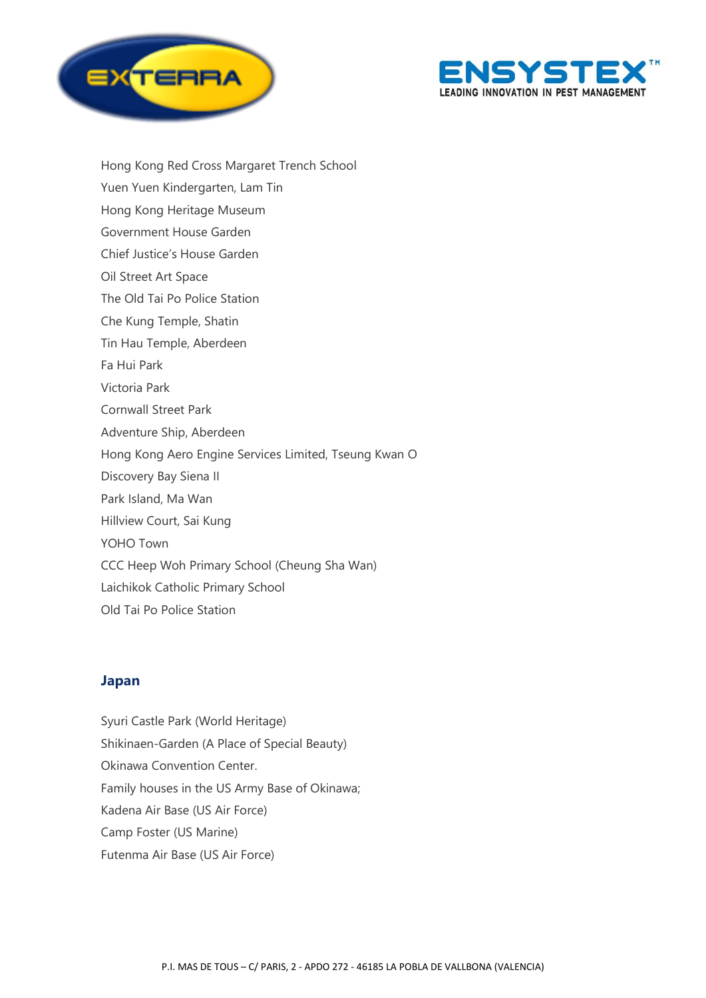



Hong Kong Red Cross Margaret Trench School Yuen Yuen Kindergarten, Lam Tin Hong Kong Heritage Museum Government House Garden Chief Justice's House Garden Oil Street Art Space The Old Tai Po Police Station Che Kung Temple, Shatin Tin Hau Temple, Aberdeen Fa Hui Park Victoria Park Cornwall Street Park Adventure Ship, Aberdeen Hong Kong Aero Engine Services Limited, Tseung Kwan O Discovery Bay Siena II Park Island, Ma Wan Hillview Court, Sai Kung YOHO Town CCC Heep Woh Primary School (Cheung Sha Wan) Laichikok Catholic Primary School Old Tai Po Police Station

### **Japan**

Syuri Castle Park (World Heritage) Shikinaen-Garden (A Place of Special Beauty) Okinawa Convention Center. Family houses in the US Army Base of Okinawa; Kadena Air Base (US Air Force) Camp Foster (US Marine) Futenma Air Base (US Air Force)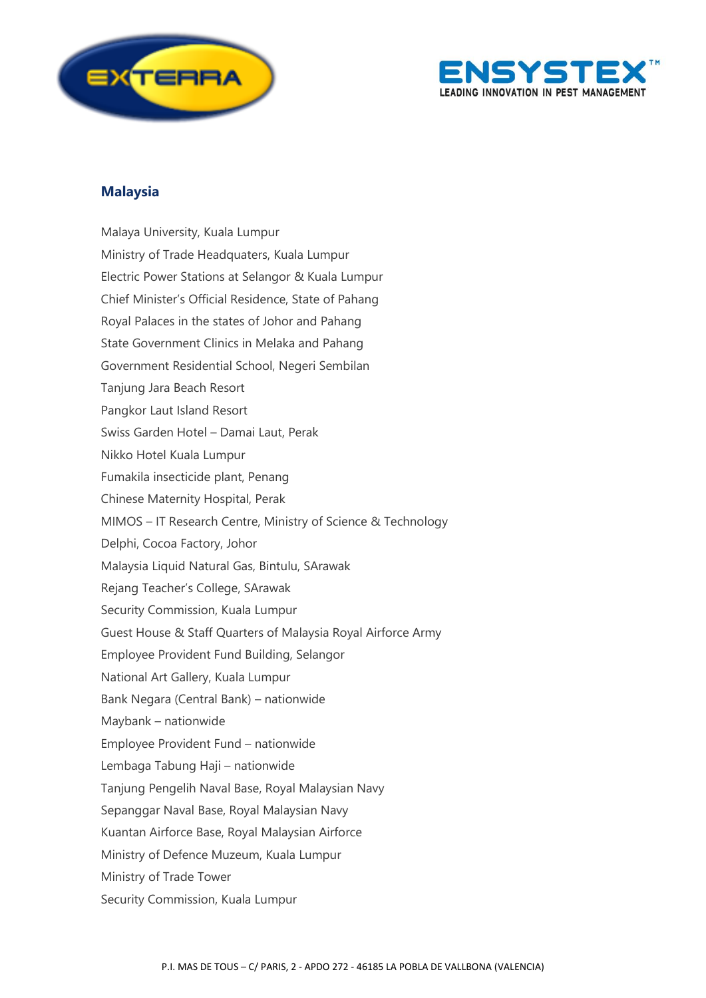



### **Malaysia**

Malaya University, Kuala Lumpur Ministry of Trade Headquaters, Kuala Lumpur Electric Power Stations at Selangor & Kuala Lumpur Chief Minister's Official Residence, State of Pahang Royal Palaces in the states of Johor and Pahang State Government Clinics in Melaka and Pahang Government Residential School, Negeri Sembilan Tanjung Jara Beach Resort Pangkor Laut Island Resort Swiss Garden Hotel – Damai Laut, Perak Nikko Hotel Kuala Lumpur Fumakila insecticide plant, Penang Chinese Maternity Hospital, Perak MIMOS – IT Research Centre, Ministry of Science & Technology Delphi, Cocoa Factory, Johor Malaysia Liquid Natural Gas, Bintulu, SArawak Rejang Teacher's College, SArawak Security Commission, Kuala Lumpur Guest House & Staff Quarters of Malaysia Royal Airforce Army Employee Provident Fund Building, Selangor National Art Gallery, Kuala Lumpur Bank Negara (Central Bank) – nationwide Maybank – nationwide Employee Provident Fund – nationwide Lembaga Tabung Haji – nationwide Tanjung Pengelih Naval Base, Royal Malaysian Navy Sepanggar Naval Base, Royal Malaysian Navy Kuantan Airforce Base, Royal Malaysian Airforce Ministry of Defence Muzeum, Kuala Lumpur Ministry of Trade Tower Security Commission, Kuala Lumpur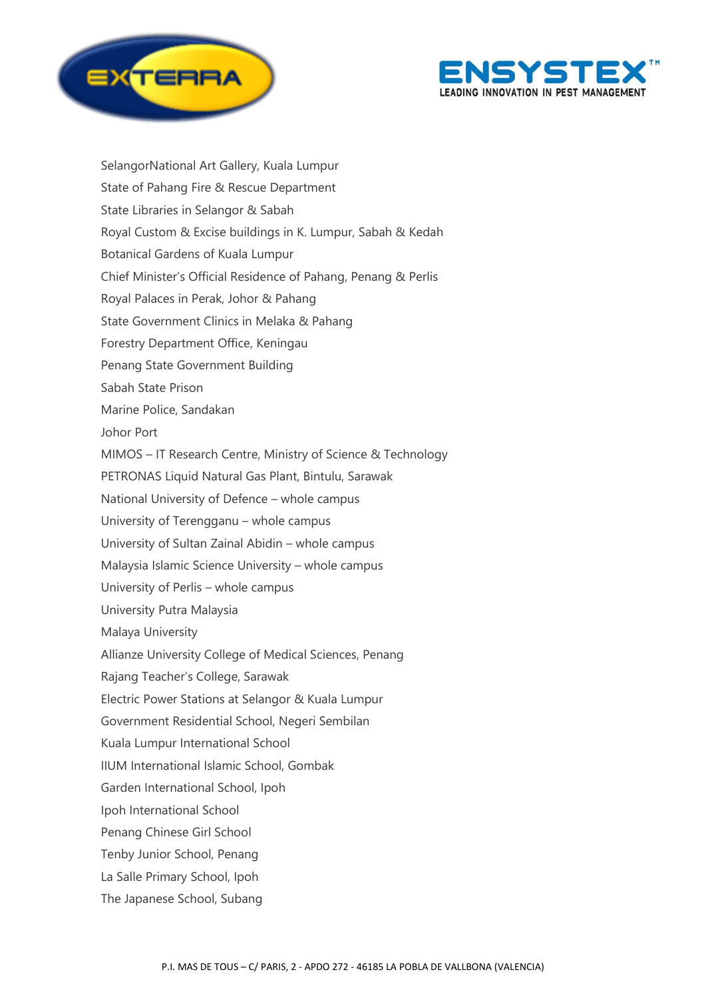



Selangor
National Art Gallery, Kuala Lumpur State of Pahang Fire & Rescue Department State Libraries in Selangor & Sabah Royal Custom & Excise buildings in K. Lumpur, Sabah & Kedah Botanical Gardens of Kuala Lumpur Chief Minister's Official Residence of Pahang, Penang & Perlis Royal Palaces in Perak, Johor & Pahang State Government Clinics in Melaka & Pahang Forestry Department Office, Keningau Penang State Government Building Sabah State Prison Marine Police, Sandakan Johor Port MIMOS – IT Research Centre, Ministry of Science & Technology PETRONAS Liquid Natural Gas Plant, Bintulu, Sarawak National University of Defence – whole campus University of Terengganu – whole campus University of Sultan Zainal Abidin – whole campus Malaysia Islamic Science University – whole campus University of Perlis – whole campus University Putra Malaysia Malaya University Allianze University College of Medical Sciences, Penang Rajang Teacher's College, Sarawak Electric Power Stations at Selangor & Kuala Lumpur Government Residential School, Negeri Sembilan Kuala Lumpur International School IIUM International Islamic School, Gombak Garden International School, Ipoh Ipoh International School Penang Chinese Girl School Tenby Junior School, Penang La Salle Primary School, Ipoh The Japanese School, Subang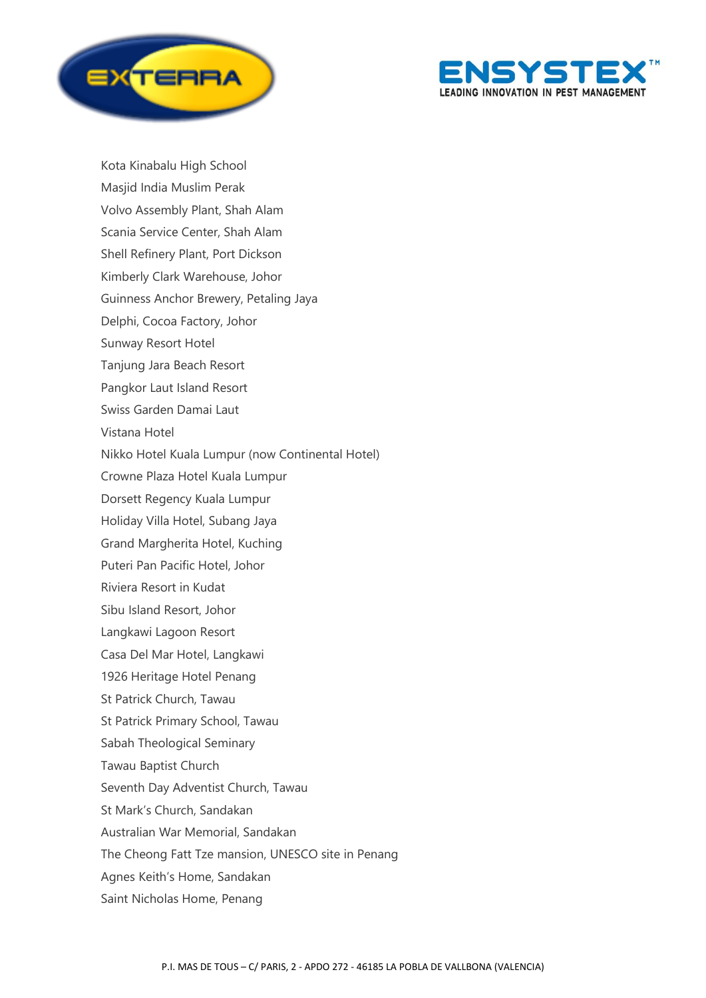



Kota Kinabalu High School Masjid India Muslim Perak Volvo Assembly Plant, Shah Alam Scania Service Center, Shah Alam Shell Refinery Plant, Port Dickson Kimberly Clark Warehouse, Johor Guinness Anchor Brewery, Petaling Jaya Delphi, Cocoa Factory, Johor Sunway Resort Hotel Tanjung Jara Beach Resort Pangkor Laut Island Resort Swiss Garden Damai Laut Vistana Hotel Nikko Hotel Kuala Lumpur (now Continental Hotel) Crowne Plaza Hotel Kuala Lumpur Dorsett Regency Kuala Lumpur Holiday Villa Hotel, Subang Jaya Grand Margherita Hotel, Kuching Puteri Pan Pacific Hotel, Johor Riviera Resort in Kudat Sibu Island Resort, Johor Langkawi Lagoon Resort Casa Del Mar Hotel, Langkawi 1926 Heritage Hotel Penang St Patrick Church, Tawau St Patrick Primary School, Tawau Sabah Theological Seminary Tawau Baptist Church Seventh Day Adventist Church, Tawau St Mark's Church, Sandakan Australian War Memorial, Sandakan The Cheong Fatt Tze mansion, UNESCO site in Penang Agnes Keith's Home, Sandakan Saint Nicholas Home, Penang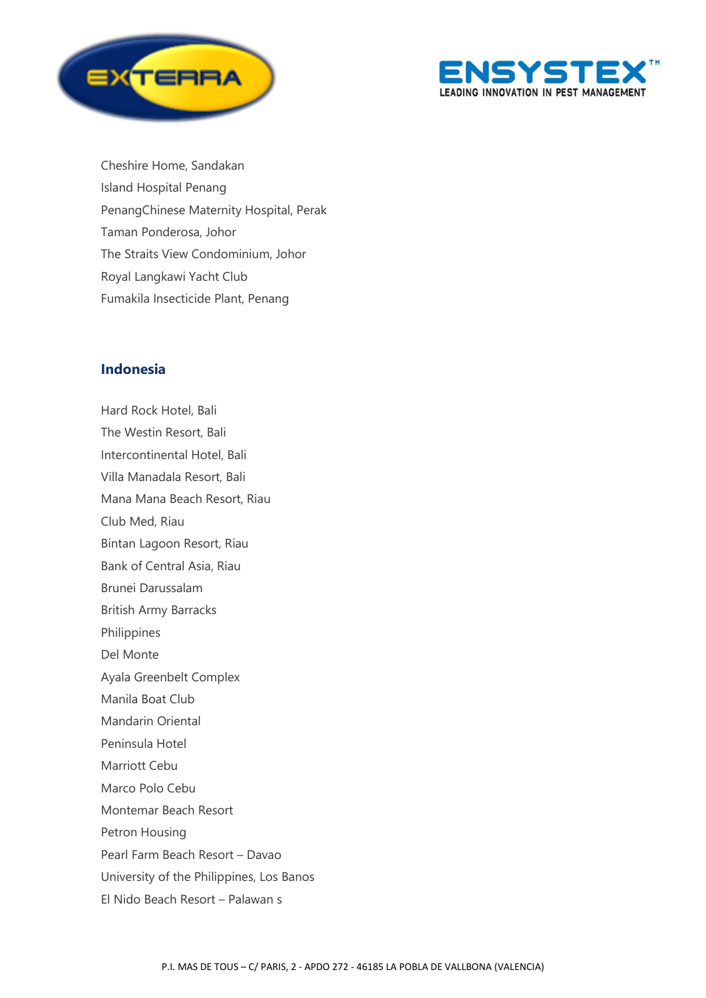



Cheshire Home, Sandakan Island Hospital Penang Penang
Chinese Maternity Hospital, Perak Taman Ponderosa, Johor The Straits View Condominium, Johor Royal Langkawi Yacht Club Fumakila Insecticide Plant, Penang

### **Indonesia**

Hard Rock Hotel, Bali The Westin Resort, Bali Intercontinental Hotel, Bali Villa Manadala Resort, Bali Mana Mana Beach Resort, Riau Club Med, Riau Bintan Lagoon Resort, Riau Bank of Central Asia, Riau Brunei Darussalam British Army Barracks Philippines Del Monte Ayala Greenbelt Complex Manila Boat Club Mandarin Oriental Peninsula Hotel Marriott Cebu Marco Polo Cebu Montemar Beach Resort Petron Housing Pearl Farm Beach Resort – Davao University of the Philippines, Los Banos El Nido Beach Resort – Palawan s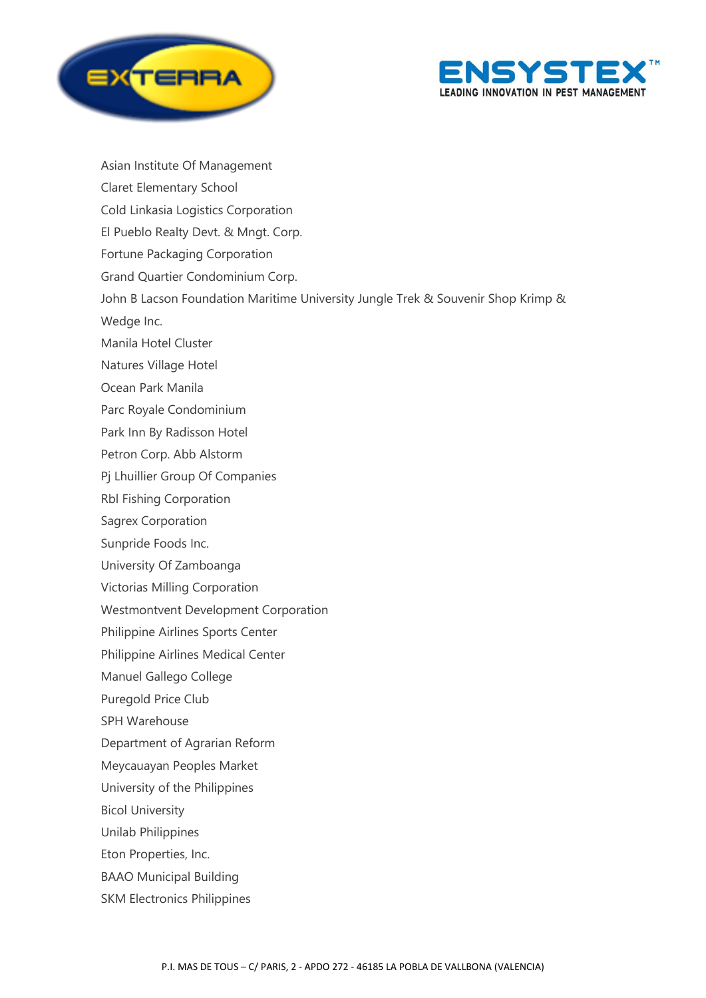



Asian Institute Of Management Claret Elementary School Cold Linkasia Logistics Corporation El Pueblo Realty Devt. & Mngt. Corp. Fortune Packaging Corporation Grand Quartier Condominium Corp. John B Lacson Foundation Maritime University Jungle Trek & Souvenir Shop Krimp & Wedge Inc. Manila Hotel Cluster Natures Village Hotel Ocean Park Manila Parc Royale Condominium Park Inn By Radisson Hotel Petron Corp. Abb Alstorm Pj Lhuillier Group Of Companies Rbl Fishing Corporation Sagrex Corporation Sunpride Foods Inc. University Of Zamboanga Victorias Milling Corporation Westmontvent Development Corporation Philippine Airlines Sports Center Philippine Airlines Medical Center Manuel Gallego College Puregold Price Club SPH Warehouse Department of Agrarian Reform Meycauayan Peoples Market University of the Philippines Bicol University Unilab Philippines Eton Properties, Inc. BAAO Municipal Building SKM Electronics Philippines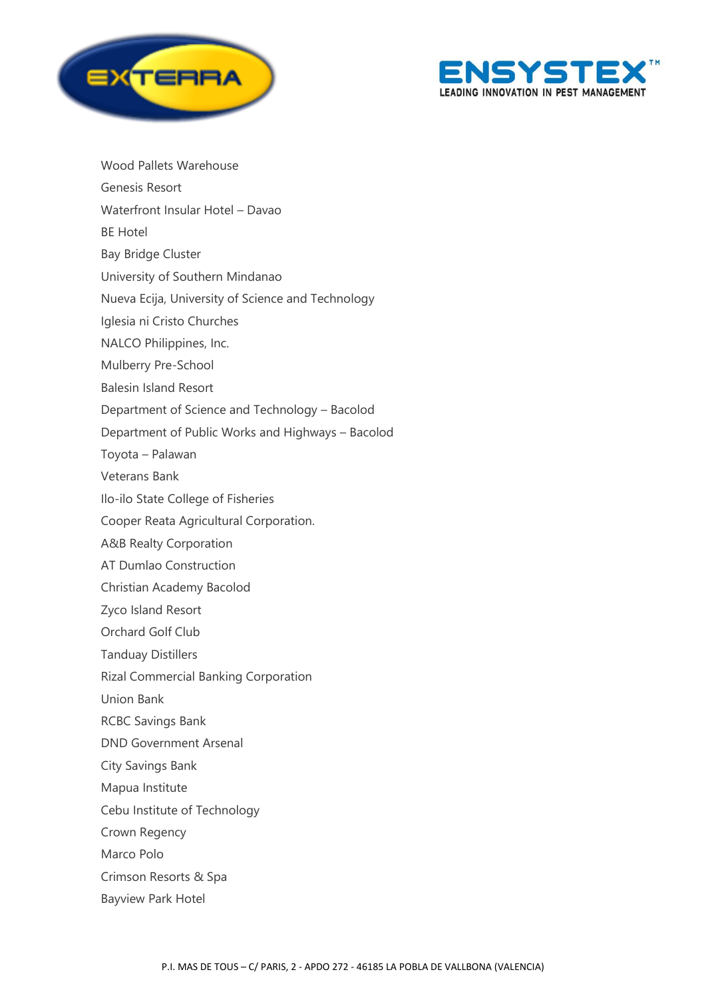

Wood Pallets Warehouse



Genesis Resort Waterfront Insular Hotel – Davao BE Hotel Bay Bridge Cluster University of Southern Mindanao Nueva Ecija, University of Science and Technology Iglesia ni Cristo Churches NALCO Philippines, Inc. Mulberry Pre-School

Balesin Island Resort

Department of Science and Technology – Bacolod

Department of Public Works and Highways – Bacolod

Toyota – Palawan

Veterans Bank

Ilo-ilo State College of Fisheries

Cooper Reata Agricultural Corporation.

A&B Realty Corporation

AT Dumlao Construction

Christian Academy Bacolod

Zyco Island Resort

Orchard Golf Club

Tanduay Distillers

Rizal Commercial Banking Corporation

Union Bank

RCBC Savings Bank

DND Government Arsenal

City Savings Bank

Mapua Institute

Cebu Institute of Technology

Crown Regency

Marco Polo

Crimson Resorts & Spa

Bayview Park Hotel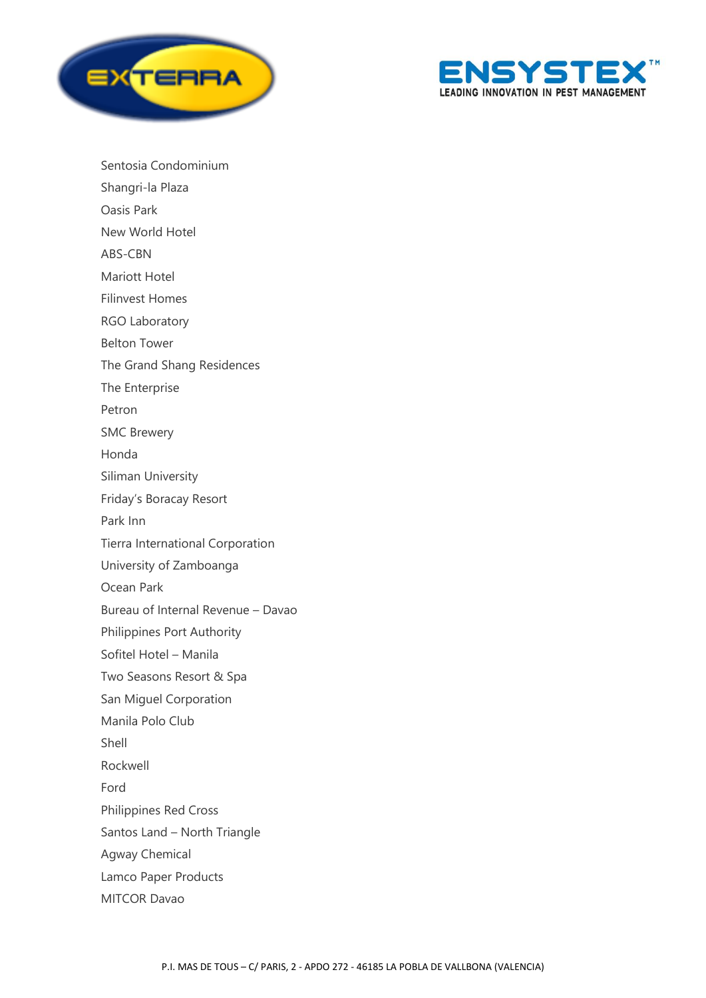



Sentosia Condominium Shangri-la Plaza Oasis Park New World Hotel ABS-CBN Mariott Hotel Filinvest Homes RGO Laboratory Belton Tower The Grand Shang Residences The Enterprise Petron SMC Brewery Honda Siliman University Friday's Boracay Resort Park Inn Tierra International Corporation University of Zamboanga Ocean Park Bureau of Internal Revenue – Davao Philippines Port Authority Sofitel Hotel – Manila Two Seasons Resort & Spa San Miguel Corporation Manila Polo Club Shell Rockwell Ford Philippines Red Cross Santos Land – North Triangle Agway Chemical Lamco Paper Products

MITCOR Davao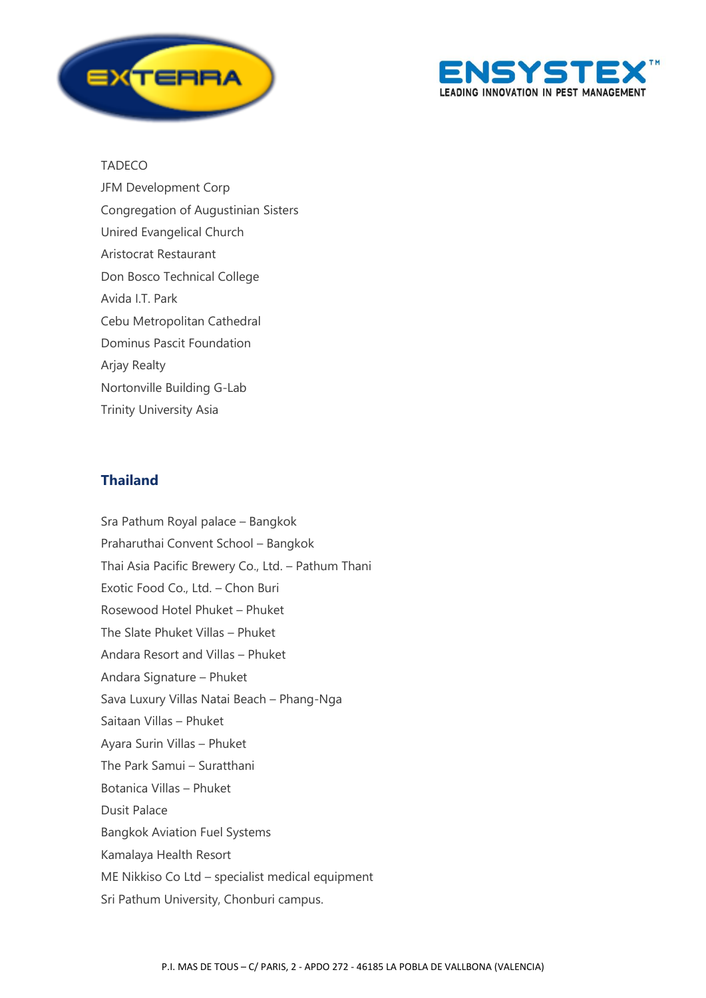



#### TADECO

JFM Development Corp Congregation of Augustinian Sisters Unired Evangelical Church Aristocrat Restaurant Don Bosco Technical College Avida I.T. Park Cebu Metropolitan Cathedral Dominus Pascit Foundation Arjay Realty Nortonville Building G-Lab Trinity University Asia

## **Thailand**

Sra Pathum Royal palace – Bangkok Praharuthai Convent School – Bangkok Thai Asia Pacific Brewery Co., Ltd. – Pathum Thani Exotic Food Co., Ltd. – Chon Buri Rosewood Hotel Phuket – Phuket The Slate Phuket Villas – Phuket Andara Resort and Villas – Phuket Andara Signature – Phuket Sava Luxury Villas Natai Beach – Phang-Nga Saitaan Villas – Phuket Ayara Surin Villas – Phuket The Park Samui – Suratthani Botanica Villas – Phuket Dusit Palace Bangkok Aviation Fuel Systems Kamalaya Health Resort ME Nikkiso Co Ltd – specialist medical equipment Sri Pathum University, Chonburi campus.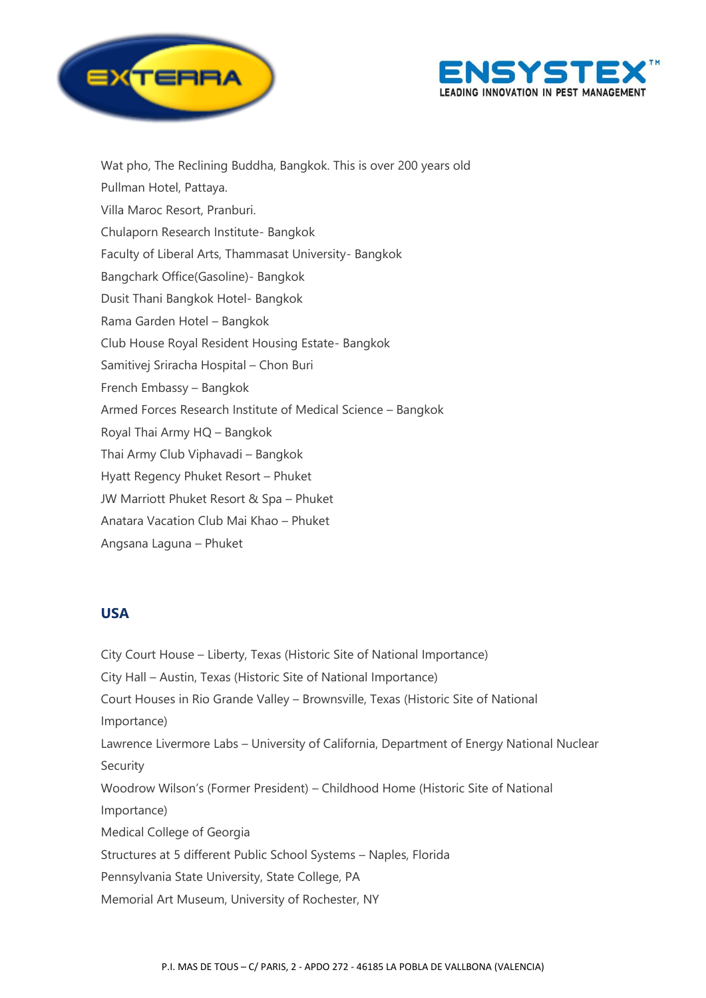



Wat pho, The Reclining Buddha, Bangkok. This is over 200 years old Pullman Hotel, Pattaya. Villa Maroc Resort, Pranburi. Chulaporn Research Institute- Bangkok Faculty of Liberal Arts, Thammasat University- Bangkok Bangchark Office(Gasoline)- Bangkok Dusit Thani Bangkok Hotel- Bangkok Rama Garden Hotel – Bangkok Club House Royal Resident Housing Estate- Bangkok Samitivej Sriracha Hospital – Chon Buri French Embassy – Bangkok Armed Forces Research Institute of Medical Science – Bangkok Royal Thai Army HQ – Bangkok Thai Army Club Viphavadi – Bangkok Hyatt Regency Phuket Resort – Phuket JW Marriott Phuket Resort & Spa – Phuket Anatara Vacation Club Mai Khao – Phuket Angsana Laguna – Phuket

### **USA**

City Court House – Liberty, Texas (Historic Site of National Importance) City Hall – Austin, Texas (Historic Site of National Importance) Court Houses in Rio Grande Valley – Brownsville, Texas (Historic Site of National Importance) Lawrence Livermore Labs – University of California, Department of Energy National Nuclear Security Woodrow Wilson's (Former President) – Childhood Home (Historic Site of National Importance) Medical College of Georgia Structures at 5 different Public School Systems – Naples, Florida Pennsylvania State University, State College, PA Memorial Art Museum, University of Rochester, NY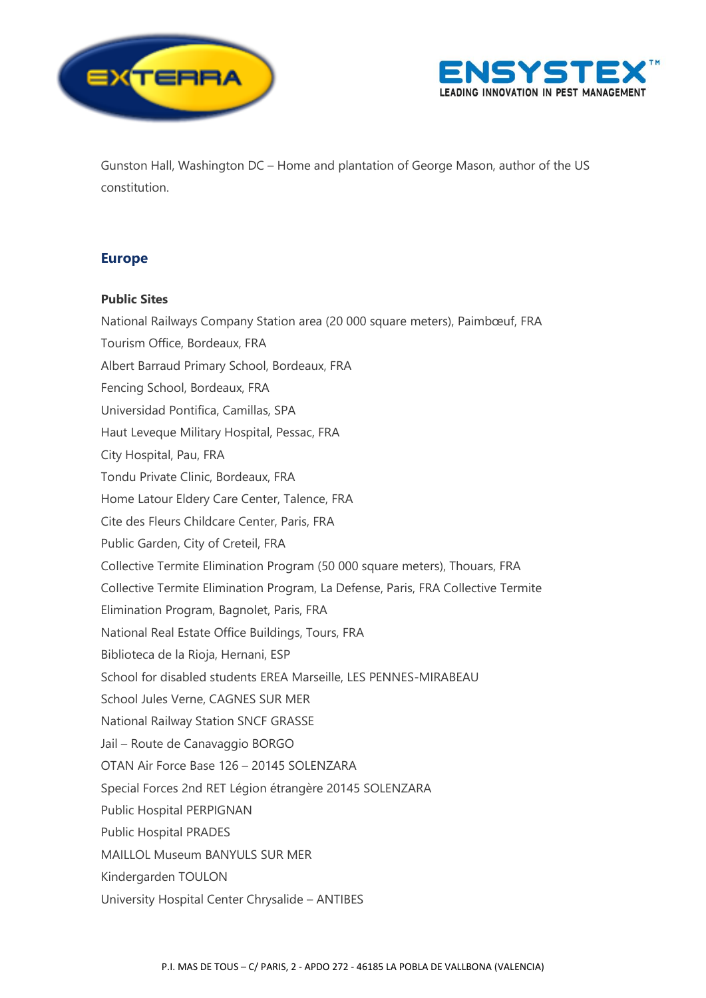



Gunston Hall, Washington DC – Home and plantation of George Mason, author of the US constitution.

# **Europe**

#### **Public Sites**

National Railways Company Station area (20 000 square meters), Paimbœuf, FRA Tourism Office, Bordeaux, FRA Albert Barraud Primary School, Bordeaux, FRA Fencing School, Bordeaux, FRA Universidad Pontifica, Camillas, SPA Haut Leveque Military Hospital, Pessac, FRA City Hospital, Pau, FRA Tondu Private Clinic, Bordeaux, FRA Home Latour Eldery Care Center, Talence, FRA Cite des Fleurs Childcare Center, Paris, FRA Public Garden, City of Creteil, FRA Collective Termite Elimination Program (50 000 square meters), Thouars, FRA Collective Termite Elimination Program, La Defense, Paris, FRA Collective Termite Elimination Program, Bagnolet, Paris, FRA National Real Estate Office Buildings, Tours, FRA Biblioteca de la Rioja, Hernani, ESP School for disabled students EREA Marseille, LES PENNES-MIRABEAU School Jules Verne, CAGNES SUR MER National Railway Station SNCF GRASSE Jail – Route de Canavaggio BORGO OTAN Air Force Base 126 – 20145 SOLENZARA Special Forces 2nd RET Légion étrangère 20145 SOLENZARA Public Hospital PERPIGNAN Public Hospital PRADES MAILLOL Museum BANYULS SUR MER Kindergarden TOULON University Hospital Center Chrysalide – ANTIBES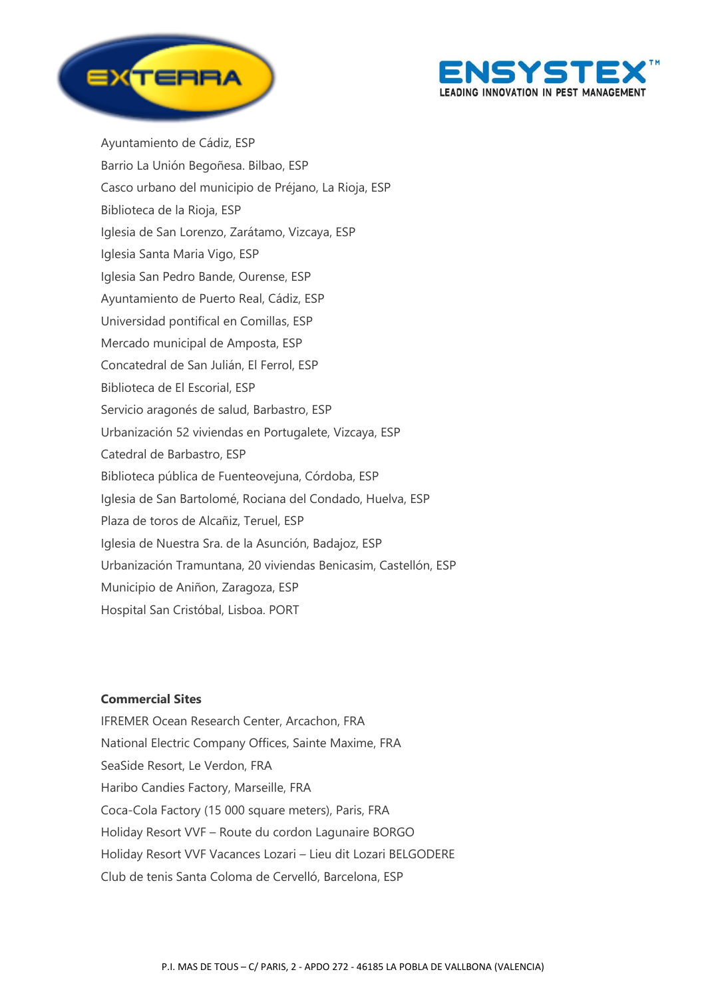



Ayuntamiento de Cádiz, ESP Barrio La Unión Begoñesa. Bilbao, ESP Casco urbano del municipio de Préjano, La Rioja, ESP Biblioteca de la Rioja, ESP Iglesia de San Lorenzo, Zarátamo, Vizcaya, ESP Iglesia Santa Maria Vigo, ESP Iglesia San Pedro Bande, Ourense, ESP Ayuntamiento de Puerto Real, Cádiz, ESP Universidad pontifical en Comillas, ESP Mercado municipal de Amposta, ESP Concatedral de San Julián, El Ferrol, ESP Biblioteca de El Escorial, ESP Servicio aragonés de salud, Barbastro, ESP Urbanización 52 viviendas en Portugalete, Vizcaya, ESP Catedral de Barbastro, ESP Biblioteca pública de Fuenteovejuna, Córdoba, ESP Iglesia de San Bartolomé, Rociana del Condado, Huelva, ESP Plaza de toros de Alcañiz, Teruel, ESP Iglesia de Nuestra Sra. de la Asunción, Badajoz, ESP Urbanización Tramuntana, 20 viviendas Benicasim, Castellón, ESP Municipio de Aniñon, Zaragoza, ESP Hospital San Cristóbal, Lisboa. PORT

#### **Commercial Sites**

IFREMER Ocean Research Center, Arcachon, FRA National Electric Company Offices, Sainte Maxime, FRA SeaSide Resort, Le Verdon, FRA Haribo Candies Factory, Marseille, FRA Coca-Cola Factory (15 000 square meters), Paris, FRA Holiday Resort VVF – Route du cordon Lagunaire BORGO Holiday Resort VVF Vacances Lozari – Lieu dit Lozari BELGODERE Club de tenis Santa Coloma de Cervelló, Barcelona, ESP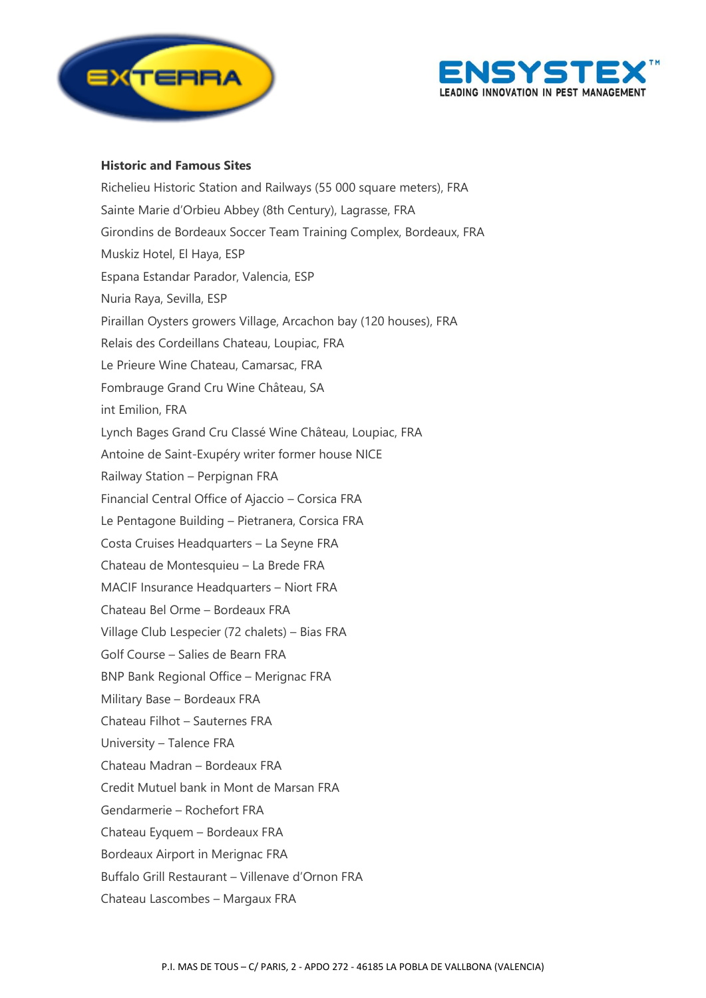



#### **Historic and Famous Sites**

Richelieu Historic Station and Railways (55 000 square meters), FRA Sainte Marie d'Orbieu Abbey (8th Century), Lagrasse, FRA Girondins de Bordeaux Soccer Team Training Complex, Bordeaux, FRA Muskiz Hotel, El Haya, ESP Espana Estandar Parador, Valencia, ESP Nuria Raya, Sevilla, ESP Piraillan Oysters growers Village, Arcachon bay (120 houses), FRA Relais des Cordeillans Chateau, Loupiac, FRA Le Prieure Wine Chateau, Camarsac, FRA Fombrauge Grand Cru Wine Château, SA int Emilion, FRA Lynch Bages Grand Cru Classé Wine Château, Loupiac, FRA Antoine de Saint-Exupéry writer former house NICE Railway Station – Perpignan FRA Financial Central Office of Ajaccio – Corsica FRA Le Pentagone Building – Pietranera, Corsica FRA Costa Cruises Headquarters – La Seyne FRA Chateau de Montesquieu – La Brede FRA MACIF Insurance Headquarters – Niort FRA Chateau Bel Orme – Bordeaux FRA Village Club Lespecier (72 chalets) – Bias FRA Golf Course – Salies de Bearn FRA BNP Bank Regional Office – Merignac FRA Military Base – Bordeaux FRA Chateau Filhot – Sauternes FRA University – Talence FRA Chateau Madran – Bordeaux FRA Credit Mutuel bank in Mont de Marsan FRA Gendarmerie – Rochefort FRA Chateau Eyquem – Bordeaux FRA Bordeaux Airport in Merignac FRA Buffalo Grill Restaurant – Villenave d'Ornon FRA Chateau Lascombes – Margaux FRA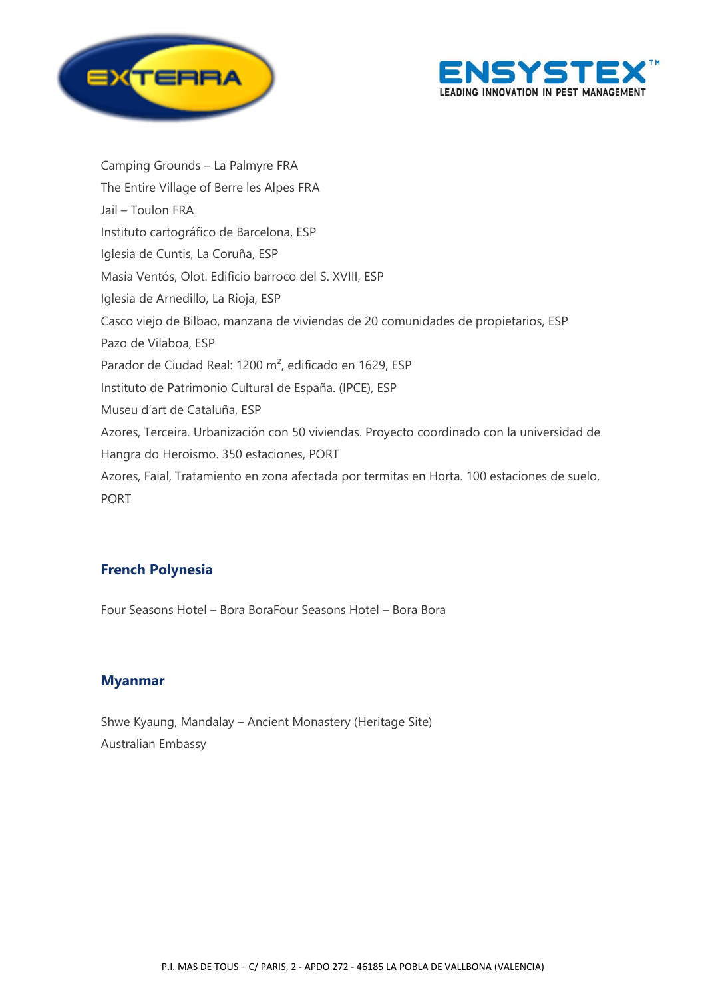



Camping Grounds – La Palmyre FRA The Entire Village of Berre les Alpes FRA Jail – Toulon FRA Instituto cartográfico de Barcelona, ESP Iglesia de Cuntis, La Coruña, ESP Masía Ventós, Olot. Edificio barroco del S. XVIII, ESP Iglesia de Arnedillo, La Rioja, ESP Casco viejo de Bilbao, manzana de viviendas de 20 comunidades de propietarios, ESP Pazo de Vilaboa, ESP Parador de Ciudad Real: 1200 m², edificado en 1629, ESP Instituto de Patrimonio Cultural de España. (IPCE), ESP Museu d'art de Cataluña, ESP Azores, Terceira. Urbanización con 50 viviendas. Proyecto coordinado con la universidad de Hangra do Heroismo. 350 estaciones, PORT Azores, Faial, Tratamiento en zona afectada por termitas en Horta. 100 estaciones de suelo, PORT

### **French Polynesia**

Four Seasons Hotel – Bora BoraFour Seasons Hotel – Bora Bora

### **Myanmar**

Shwe Kyaung, Mandalay – Ancient Monastery (Heritage Site) Australian Embassy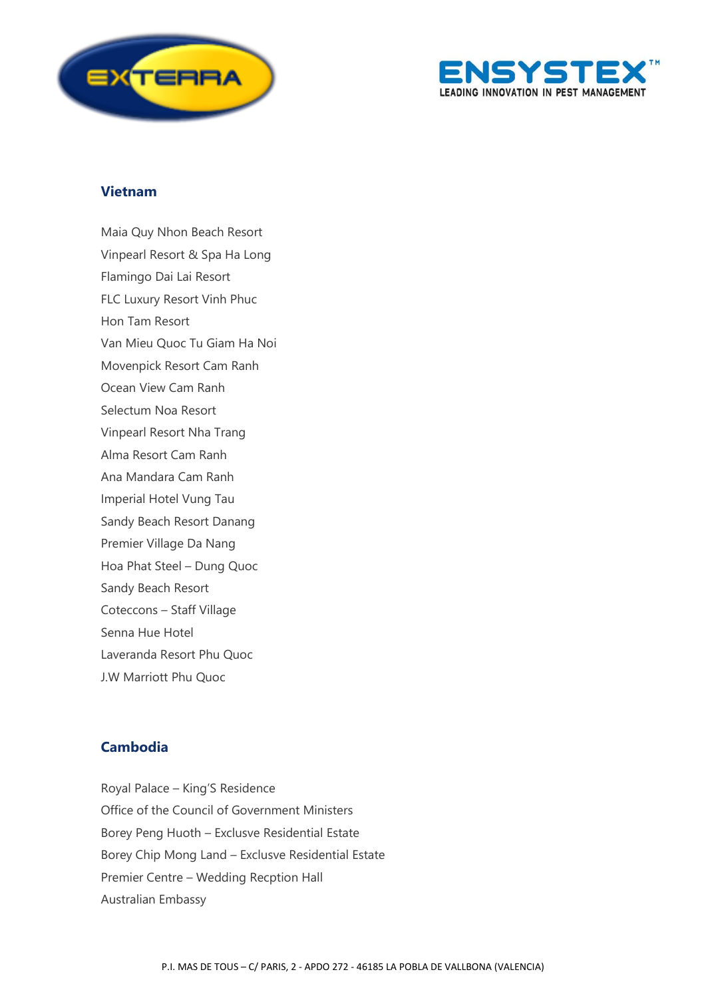



#### **Vietnam**

Maia Quy Nhon Beach Resort Vinpearl Resort & Spa Ha Long Flamingo Dai Lai Resort FLC Luxury Resort Vinh Phuc Hon Tam Resort Van Mieu Quoc Tu Giam Ha Noi Movenpick Resort Cam Ranh Ocean View Cam Ranh Selectum Noa Resort Vinpearl Resort Nha Trang Alma Resort Cam Ranh Ana Mandara Cam Ranh Imperial Hotel Vung Tau Sandy Beach Resort Danang Premier Village Da Nang Hoa Phat Steel – Dung Quoc Sandy Beach Resort Coteccons – Staff Village Senna Hue Hotel Laveranda Resort Phu Quoc J.W Marriott Phu Quoc

# **Cambodia**

Royal Palace – King'S Residence Office of the Council of Government Ministers Borey Peng Huoth – Exclusve Residential Estate Borey Chip Mong Land – Exclusve Residential Estate Premier Centre – Wedding Recption Hall Australian Embassy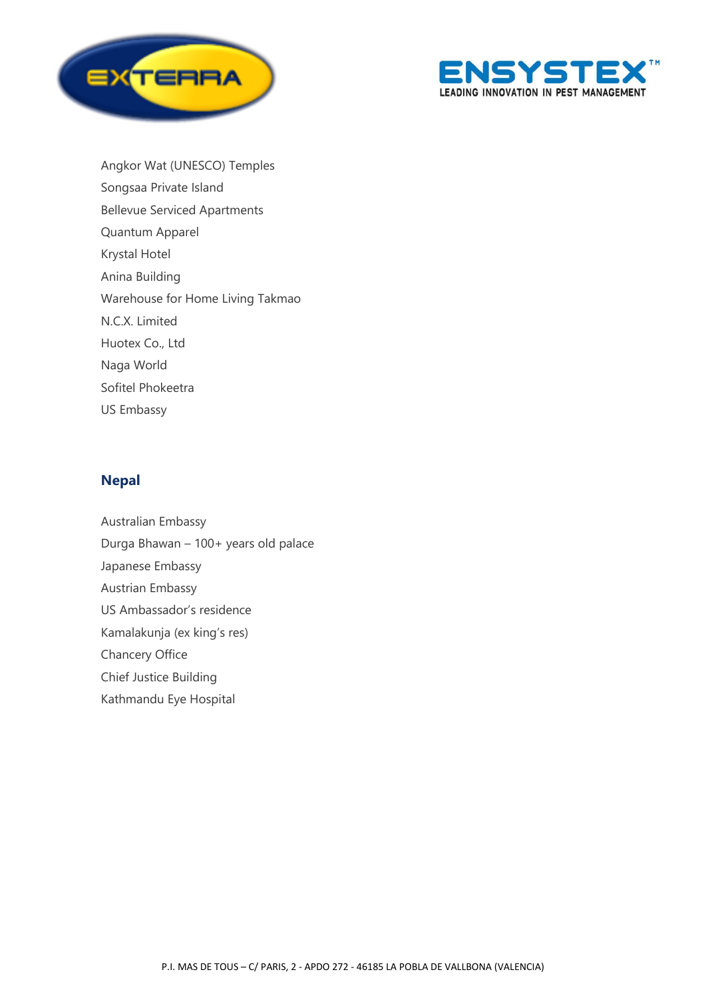



Angkor Wat (UNESCO) Temples Songsaa Private Island Bellevue Serviced Apartments Quantum Apparel Krystal Hotel Anina Building Warehouse for Home Living Takmao N.C.X. Limited Huotex Co., Ltd Naga World Sofitel Phokeetra US Embassy

### **Nepal**

Australian Embassy Durga Bhawan – 100+ years old palace Japanese Embassy Austrian Embassy US Ambassador's residence Kamalakunja (ex king's res) Chancery Office Chief Justice Building Kathmandu Eye Hospital